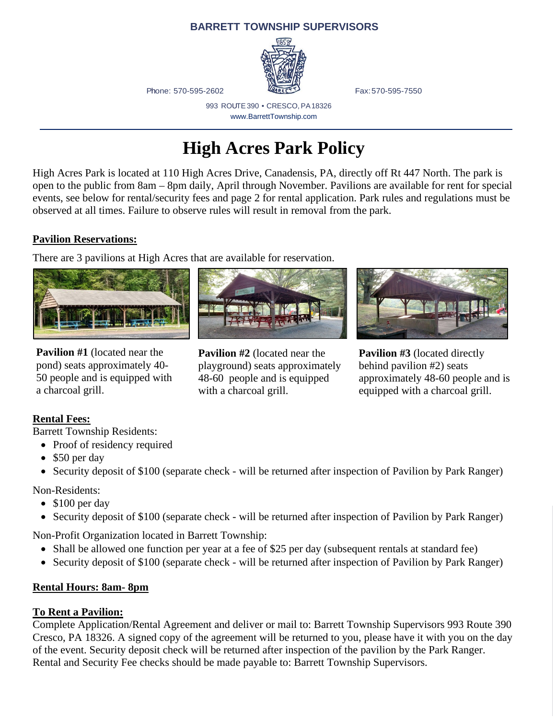#### **BARRETT TOWNSHIP SUPERVISORS**



Phone: 570-595-2602 **Fax:570-595-7550** 

993 ROUTE390 • CRESCO, PA18326 www.BarrettTownship.com

## **High Acres Park Policy**

High Acres Park is located at 110 High Acres Drive, Canadensis, PA, directly off Rt 447 North. The park is open to the public from 8am – 8pm daily, April through November. Pavilions are available for rent for special events, see below for rental/security fees and page 2 for rental application. Park rules and regulations must be observed at all times. Failure to observe rules will result in removal from the park.

#### **Pavilion Reservations:**

There are 3 pavilions at High Acres that are available for reservation.



**Pavilion #1** (located near the pond) seats approximately 40- 50 people and is equipped with a charcoal grill.



**Pavilion #2** (located near the playground) seats approximately 48-60 people and is equipped with a charcoal grill.



**Pavilion #3** (located directly behind pavilion #2) seats approximately 48-60 people and is equipped with a charcoal grill.

## **Rental Fees:**

Barrett Township Residents:

• Proof of residency required

- \$50 per day
- Security deposit of \$100 (separate check will be returned after inspection of Pavilion by Park Ranger)

Non-Residents:

- \$100 per day
- Security deposit of \$100 (separate check will be returned after inspection of Pavilion by Park Ranger)

Non-Profit Organization located in Barrett Township:

- Shall be allowed one function per year at a fee of \$25 per day (subsequent rentals at standard fee)
- Security deposit of \$100 (separate check will be returned after inspection of Pavilion by Park Ranger)

## **Rental Hours: 8am- 8pm**

## **To Rent a Pavilion:**

Complete Application/Rental Agreement and deliver or mail to: Barrett Township Supervisors 993 Route 390 Cresco, PA 18326. A signed copy of the agreement will be returned to you, please have it with you on the day of the event. Security deposit check will be returned after inspection of the pavilion by the Park Ranger. Rental and Security Fee checks should be made payable to: Barrett Township Supervisors.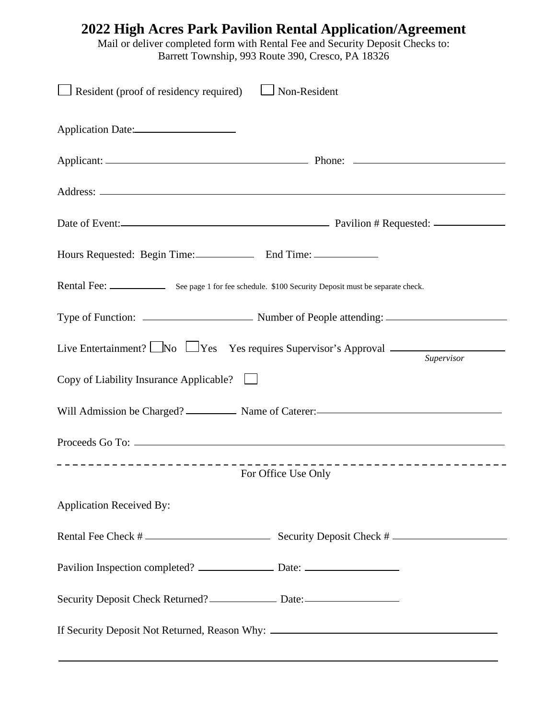| 2022 High Acres Park Pavilion Rental Application/Agreement<br>Mail or deliver completed form with Rental Fee and Security Deposit Checks to:<br>Barrett Township, 993 Route 390, Cresco, PA 18326 |
|---------------------------------------------------------------------------------------------------------------------------------------------------------------------------------------------------|
| $\Box$ Resident (proof of residency required) $\Box$ Non-Resident                                                                                                                                 |
| Application Date:                                                                                                                                                                                 |
|                                                                                                                                                                                                   |
|                                                                                                                                                                                                   |
|                                                                                                                                                                                                   |
|                                                                                                                                                                                                   |
|                                                                                                                                                                                                   |
|                                                                                                                                                                                                   |
| Live Entertainment? $\Box$ No $\Box$ Yes Yes requires Supervisor's Approval $\Box$<br>Supervisor                                                                                                  |
| Copy of Liability Insurance Applicable? $\Box$                                                                                                                                                    |
| Will Admission be Charged? Name of Caterer:                                                                                                                                                       |
|                                                                                                                                                                                                   |
| For Office Use Only                                                                                                                                                                               |
| <b>Application Received By:</b>                                                                                                                                                                   |
|                                                                                                                                                                                                   |
| Pavilion Inspection completed? ___________________ Date: _______________________                                                                                                                  |
| Security Deposit Check Returned? _________________ Date: _______________________                                                                                                                  |
| If Security Deposit Not Returned, Reason Why: __________________________________                                                                                                                  |